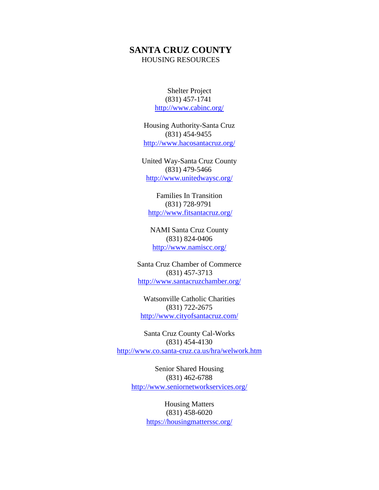## **SANTA CRUZ COUNTY** HOUSING RESOURCES

Shelter Project (831) 457-1741 <http://www.cabinc.org/>

Housing Authority-Santa Cruz (831) 454-9455 <http://www.hacosantacruz.org/>

United Way-Santa Cruz County (831) 479-5466 <http://www.unitedwaysc.org/>

Families In Transition (831) 728-9791 <http://www.fitsantacruz.org/>

NAMI Santa Cruz County (831) 824-0406 <http://www.namiscc.org/>

Santa Cruz Chamber of Commerce (831) 457-3713 <http://www.santacruzchamber.org/>

Watsonville Catholic Charities (831) 722-2675 <http://www.cityofsantacruz.com/>

Santa Cruz County Cal-Works (831) 454-4130 <http://www.co.santa-cruz.ca.us/hra/welwork.htm>

> Senior Shared Housing (831) 462-6788 <http://www.seniornetworkservices.org/>

> > Housing Matters (831) 458-6020 <https://housingmatterssc.org/>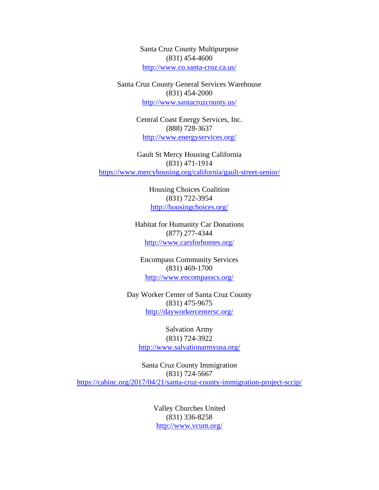Santa Cruz County Multipurpose (831) 454-4600 <http://www.co.santa-cruz.ca.us/>

Santa Cruz County General Services Warehouse (831) 454-2000 <http://www.santacruzcounty.us/>

> Central Coast Energy Services, Inc. (888) 728-3637 <http://www.energyservices.org/>

Gault St Mercy Housing California (831) 471-1914 <https://www.mercyhousing.org/california/gault-street-senior/>

> Housing Choices Coalition (831) 722-3954 <http://housingchoices.org/>

Habitat for Humanity Car Donations (877) 277-4344 <http://www.carsforhomes.org/>

Encompass Community Services (831) 469-1700 <http://www.encompasscs.org/>

Day Worker Center of Santa Cruz County (831) 475-9675 <http://dayworkercentersc.org/>

> Salvation Army (831) 724-3922 <http://www.salvationarmyusa.org/>

Santa Cruz County Immigration (831) 724-5667 <https://cabinc.org/2017/04/21/santa-cruz-county-immigration-project-sccip/>

> Valley Churches United (831) 336-8258 <http://www.vcum.org/>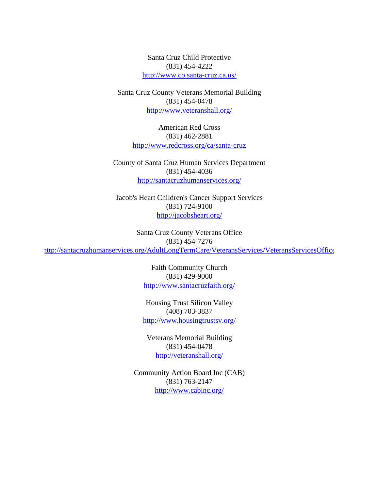Santa Cruz Child Protective (831) 454-4222 <http://www.co.santa-cruz.ca.us/>

Santa Cruz County Veterans Memorial Building (831) 454-0478 <http://www.veteranshall.org/>

> American Red Cross (831) 462-2881 <http://www.redcross.org/ca/santa-cruz>

County of Santa Cruz Human Services Department (831) 454-4036 <http://santacruzhumanservices.org/>

Jacob's Heart Children's Cancer Support Services (831) 724-9100 <http://jacobsheart.org/>

Santa Cruz County Veterans Office (831) 454-7276 <http://santacruzhumanservices.org/AdultLongTermCare/VeteransServices/VeteransServicesOffice>

> Faith Community Church (831) 429-9000 <http://www.santacruzfaith.org/>

Housing Trust Silicon Valley (408) 703-3837 <http://www.housingtrustsv.org/>

Veterans Memorial Building (831) 454-0478 <http://veteranshall.org/>

Community Action Board Inc (CAB) (831) 763-2147 <http://www.cabinc.org/>